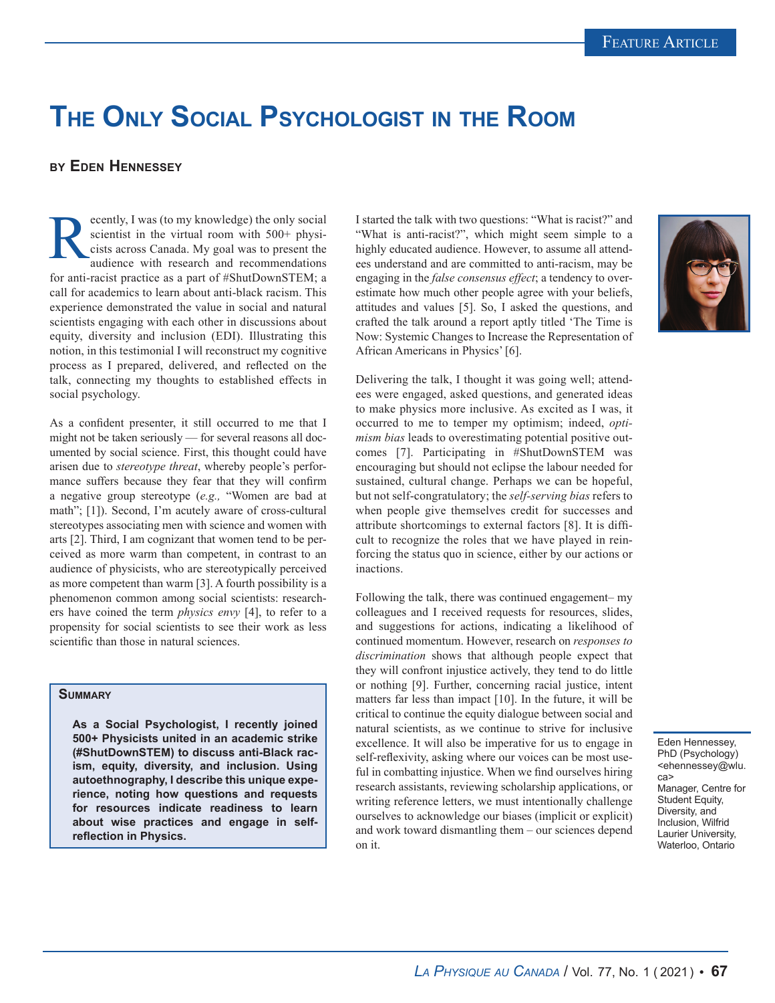## **The Only Social Psychologist in the Room**

## **by Eden Hennessey**

ecently, I was (to my knowledge) the only social scientist in the virtual room with 500+ physicists across Canada. My goal was to present the audience with research and recommendations scientist in the virtual room with 500+ physicists across Canada. My goal was to present the audience with research and recommendations for anti-racist practice as a part of #ShutDownSTEM; a call for academics to learn about anti-black racism. This experience demonstrated the value in social and natural scientists engaging with each other in discussions about equity, diversity and inclusion (EDI). Illustrating this notion, in this testimonial I will reconstruct my cognitive process as I prepared, delivered, and reflected on the talk, connecting my thoughts to established effects in social psychology.

As a confident presenter, it still occurred to me that I might not be taken seriously — for several reasons all documented by social science. First, this thought could have arisen due to *stereotype threat*, whereby people's performance suffers because they fear that they will confirm a negative group stereotype (*e.g.,* "Women are bad at math"; [1]). Second, I'm acutely aware of cross-cultural stereotypes associating men with science and women with arts [2]. Third, I am cognizant that women tend to be perceived as more warm than competent, in contrast to an audience of physicists, who are stereotypically perceived as more competent than warm [3]. A fourth possibility is a phenomenon common among social scientists: researchers have coined the term *physics envy* [4], to refer to a propensity for social scientists to see their work as less scientific than those in natural sciences.

## **Summary**

**As a Social Psychologist, I recently joined 500+ Physicists united in an academic strike (#ShutDownSTEM) to discuss anti-Black racism, equity, diversity, and inclusion. Using autoethnography, I describe this unique experience, noting how questions and requests for resources indicate readiness to learn about wise practices and engage in selfreflection in Physics.**

I started the talk with two questions: "What is racist?" and "What is anti-racist?", which might seem simple to a highly educated audience. However, to assume all attendees understand and are committed to anti-racism, may be engaging in the *false consensus effect*; a tendency to overestimate how much other people agree with your beliefs, attitudes and values [5]. So, I asked the questions, and crafted the talk around a report aptly titled 'The Time is Now: Systemic Changes to Increase the Representation of African Americans in Physics' [6].



Delivering the talk, I thought it was going well; attendees were engaged, asked questions, and generated ideas to make physics more inclusive. As excited as I was, it occurred to me to temper my optimism; indeed, *optimism bias* leads to overestimating potential positive outcomes [7]. Participating in #ShutDownSTEM was encouraging but should not eclipse the labour needed for sustained, cultural change. Perhaps we can be hopeful, but not self-congratulatory; the *self-serving bias* refers to when people give themselves credit for successes and attribute shortcomings to external factors [8]. It is difficult to recognize the roles that we have played in reinforcing the status quo in science, either by our actions or inactions.

Following the talk, there was continued engagement– my colleagues and I received requests for resources, slides, and suggestions for actions, indicating a likelihood of continued momentum. However, research on *responses to discrimination* shows that although people expect that they will confront injustice actively, they tend to do little or nothing [9]. Further, concerning racial justice, intent matters far less than impact [10]. In the future, it will be critical to continue the equity dialogue between social and natural scientists, as we continue to strive for inclusive excellence. It will also be imperative for us to engage in self-reflexivity, asking where our voices can be most useful in combatting injustice. When we find ourselves hiring research assistants, reviewing scholarship applications, or writing reference letters, we must intentionally challenge ourselves to acknowledge our biases (implicit or explicit) and work toward dismantling them – our sciences depend on it.

Eden Hennessey, PhD (Psychology) <ehennessey@wlu. ca>

Manager, Centre for Student Equity, Diversity, and Inclusion, Wilfrid Laurier University, Waterloo, Ontario